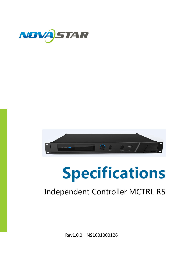



# Specifications

## Independent Controller MCTRL R5

Rev1.0.0 NS1601000126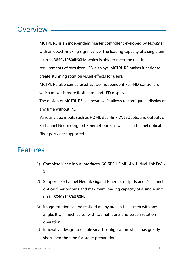### Overview \_\_

MCTRL R5 is an independent master controller developed by NovaStar with an epoch-making significance. The loading capacity of a single unit is up to 3840x1080@60Hz, which is able to meet the on-site requirements of oversized LED displays. MCTRL R5 makes it easier to create stunning rotation visual effects for users. MCTRL R5 also can be used as two independent Full-HD controllers, which makes it more flexible to load LED displays. The design of MCTRL R5 is innovative. It allows to configure a display at any time without PC.

Various video inputs such as HDMI, dual-link DVI,SDI etc. and outputs of 8-channel Neutrik Gigabit Ethernet ports as well as 2-channel optical fiber ports are supported.

#### Features

- 1) Complete video input interfaces: 6G SDI, HDMI1.4 x 1, dual-link DVI x 1;
- 2) Supports 8-channel Neutrik Gigabit Ethernet outputs and 2-channel optical fiber outputs and maximum loading capacity of a single unit up to 3840x1080@60Hz;
- 3) Image rotation can be realized at any area in the screen with any angle. It will much eaiser with cabinet, ports and screen rotation operation.
- 4) Innovative design to enable smart configuration which has greatly shortened the time for stage preparation;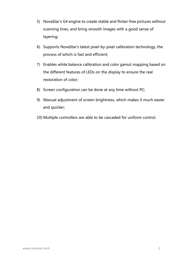- 5) NovaStar's G4 engine to create stable and flicker-free pictures without scanning lines, and bring smooth images with a good sense of layering;
- 6) Supports NovaStar's latest pixel-by-pixel calibration technology, the process of which is fast and efficient;
- 7) Enables white balance calibration and color gamut mapping based on the different features of LEDs on the display to ensure the real restoration of color;
- 8) Screen configuration can be done at any time without PC;
- 9) Manual adjustment of screen brightness, which makes it much easier and quicker;
- 10) Multiple controllers are able to be cascaded for uniform control.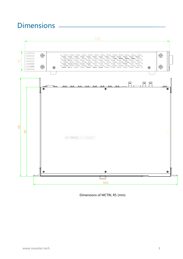## Dimensions



Dimensions of MCTRL R5 (mm)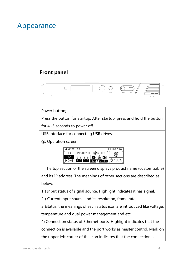### Appearance

#### Front panel



Power button;

Press the button for startup. After startup, press and hold the button

for 4~5 seconds to power off.

USB interface for connecting USB drives.

③: Operation screen



The top section of the screen displays product name (customizable) and its IP address. The meanings of other sections are described as below:

1)Input status of signal source. Highlight indicates it has signal.

2) Current input source and its resolution, frame rate.

3)Status, the meanings of each status icon are introduced like voltage,

temperature and dual power management and etc.

4) Connection status of Ethernet ports. Highlight indicates that the

connection is available and the port works as master control. Mark on

the upper left corner of the icon indicates that the connection is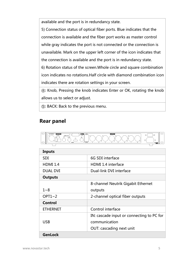available and the port is in redundancy state.

5) Connection status of optical fiber ports. Blue indicates that the connection is available and the fiber port works as master control while gray indicates the port is not connected or the connection is unavailable. Mark on the upper left corner of the icon indicates that the connection is available and the port is in redundancy state.

6) Rotation status of the screen.Whole circle and square combination icon indicates no rotations.Half circle with diamond combination icon indicates there are rotation settings in your screen.

④: Knob, Pressing the knob indicates Enter or OK, rotating the knob allows us to select or adjust.

⑤: BACK: Back to the previous menu.

#### Rear panel



| Inputs          |                                           |  |
|-----------------|-------------------------------------------|--|
| <b>SDI</b>      | 6G SDI interface                          |  |
| <b>HDMI 1.4</b> | <b>HDMI 1.4 interface</b>                 |  |
| <b>DUAL DVI</b> | Dual-link DVI interface                   |  |
| <b>Outputs</b>  |                                           |  |
|                 | 8-channel Neutrik Gigabit Ethernet        |  |
| $1 - 8$         | outputs                                   |  |
| OPT1~2          | 2-channel optical fiber outputs           |  |
| Control         |                                           |  |
| <b>ETHERNET</b> | Control interface                         |  |
|                 | IN: cascade input or connecting to PC for |  |
| <b>USB</b>      | communication                             |  |
|                 | <b>OUT: cascading next unit</b>           |  |
| <b>GenLock</b>  |                                           |  |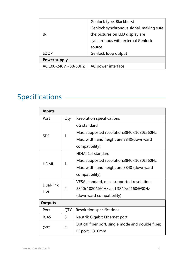| ΙN                           | Genlock type: Blackburst<br>Genlock synchronous signal, making sure<br>the pictures on LED display are<br>synchronous with external Genlock<br>source. |  |
|------------------------------|--------------------------------------------------------------------------------------------------------------------------------------------------------|--|
| LOOP                         | Genlock loop output                                                                                                                                    |  |
| <b>Power supply</b>          |                                                                                                                                                        |  |
| AC $100 - 240V \sim 50/60HZ$ | AC power interface                                                                                                                                     |  |

# Specifications

| <b>Inputs</b>           |                |                                                   |  |
|-------------------------|----------------|---------------------------------------------------|--|
| Port                    | Qty            | <b>Resolution specifications</b>                  |  |
| <b>SDI</b>              | $\mathbf{1}$   | 6G standard                                       |  |
|                         |                | Max. supported resolution:3840×1080@60Hz,         |  |
|                         |                | Max. width and height are 3840(downward           |  |
|                         |                | compatibility)                                    |  |
| <b>HDMI</b>             | $\mathbf{1}$   | HDMI 1.4 standard                                 |  |
|                         |                | Max. supported resolution:3840×1080@60Hz          |  |
|                         |                | Max. width and height are 3840 (downward          |  |
|                         |                | compatibility)                                    |  |
| Dual-link<br><b>DVI</b> | $\overline{2}$ | VESA standard, max. supported resolution:         |  |
|                         |                | 3840x1080@60Hz and 3840x2160@30Hz                 |  |
|                         |                | (downward compatibility)                          |  |
| <b>Outputs</b>          |                |                                                   |  |
| Port                    | <b>QTY</b>     | <b>Resolution specifications</b>                  |  |
| <b>RJ45</b>             | 8              | Neutrik Gigabit Ethernet port                     |  |
| <b>OPT</b>              | $\overline{2}$ | Optical fiber port, single mode and double fiber, |  |
|                         |                | LC port, 1310mm                                   |  |